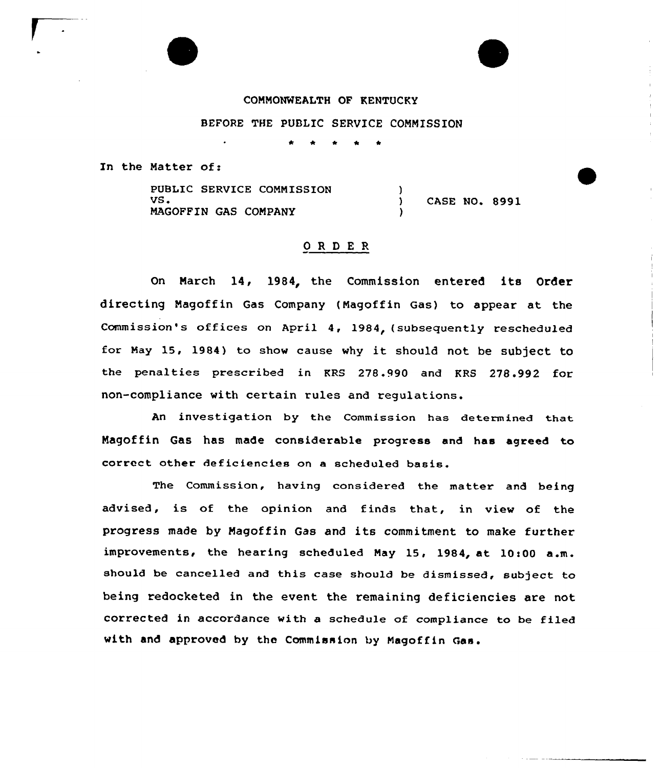

COMMONWEALTH OF KENTUCKY

BEFORE THE PUBLIC SERVICE COMMISSION

\* \* \* \* \*

In the Natter of:

PUBLIC SERVICE COMMISSION VS. MAGOFFIN GAS COMPANY )<br>) ) CASE NO. 8991 )

## ORDER

On Narch 14, 1984, the Commission entered its Order directing Magoffin Gas Company (Magoffin Gas) to appear at the Commission's offices on April 4, 1984, (subsequently rescheduled for Nay 15, 1984) to show cause why it should not be subject to the penalties prescribed in KRS 278.990 and KRS 278.992 for non-compliance with certain rules and regulations.

An investigation by the Commission has determined that Magof fin Gas has made considerable progress and has agreed to correct other deficiencies on a scheduled basis.

The Commission, having considered the matter and being advised, is of the opinion and finds that, in view of the progress made by Magoffin Gas and its commitment to make further improvements, the hearing scheduled May 15, 1984, at 10:00 a.m. should be cancelled and this case should be dismissed, subject to being redocketed in the event the remaining deficiencies are not corrected in accordance with a schedule of compliance to be filed with and approved by the Commission by Magoffin Gas.